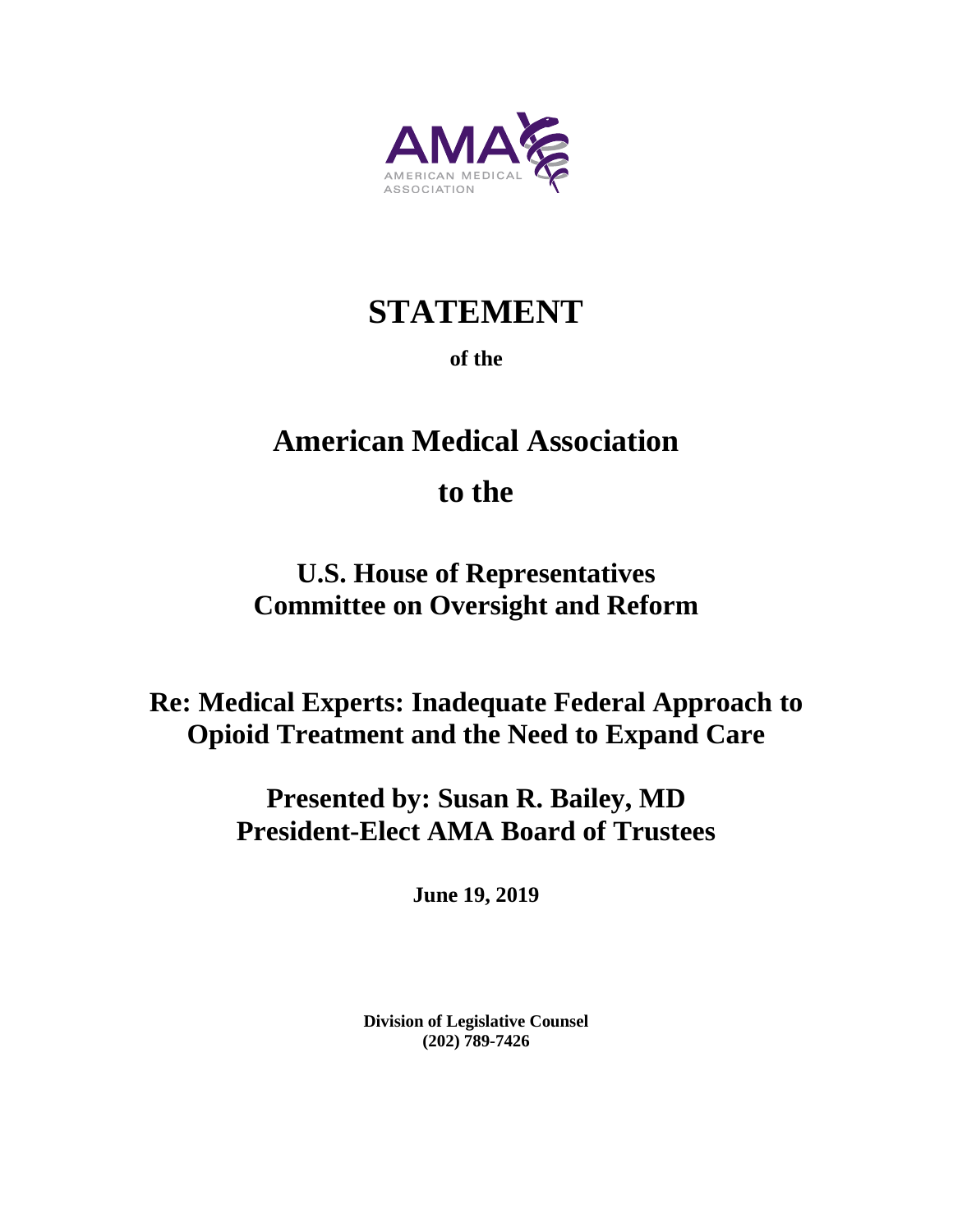

# **STATEMENT**

## **of the**

# **American Medical Association**

# **to the**

# **U.S. House of Representatives Committee on Oversight and Reform**

# **Re: Medical Experts: Inadequate Federal Approach to Opioid Treatment and the Need to Expand Care**

# **Presented by: Susan R. Bailey, MD President-Elect AMA Board of Trustees**

**June 19, 2019**

**Division of Legislative Counsel (202) 789-7426**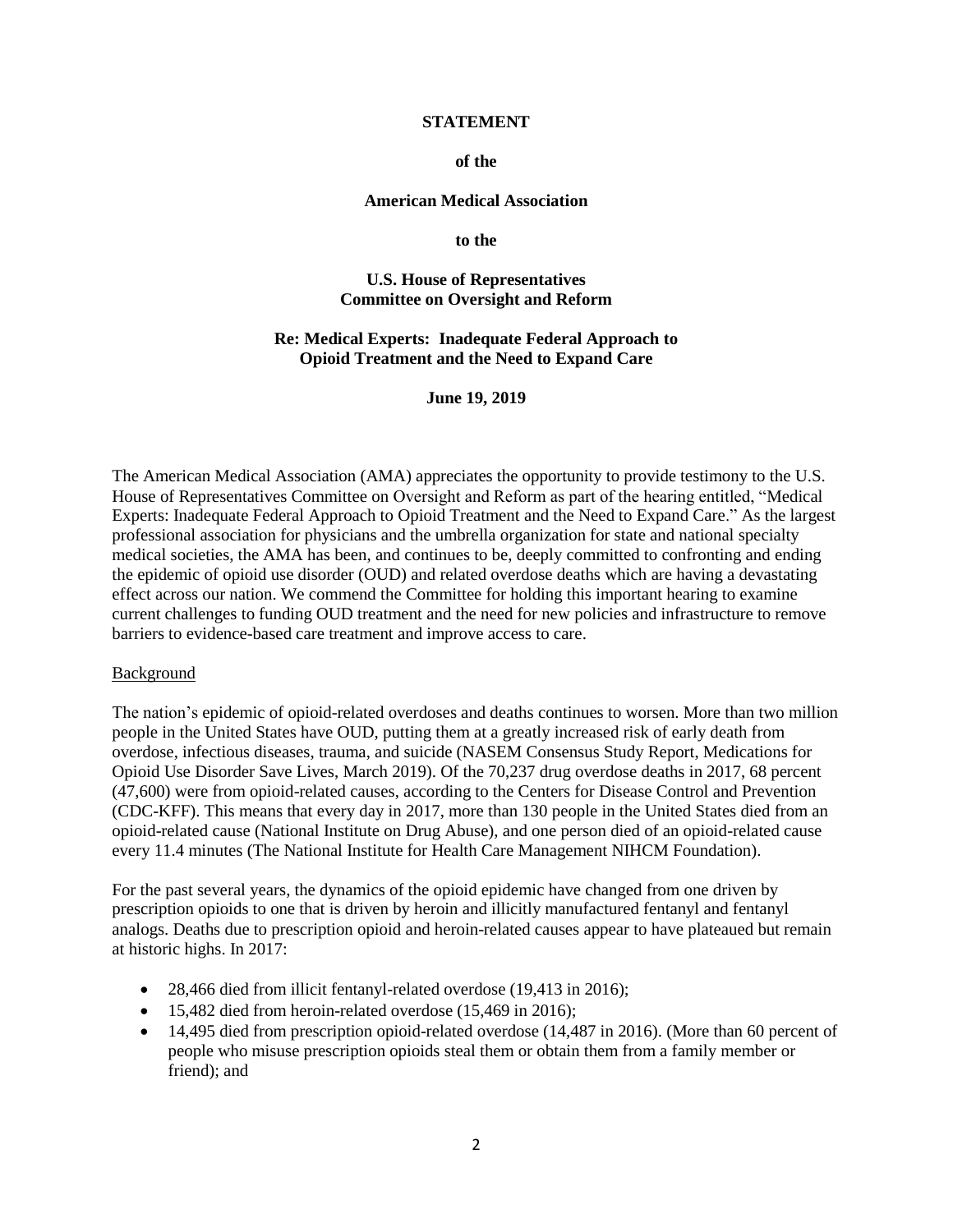#### **STATEMENT**

#### **of the**

#### **American Medical Association**

**to the** 

#### **U.S. House of Representatives Committee on Oversight and Reform**

#### **Re: Medical Experts: Inadequate Federal Approach to Opioid Treatment and the Need to Expand Care**

**June 19, 2019**

The American Medical Association (AMA) appreciates the opportunity to provide testimony to the U.S. House of Representatives Committee on Oversight and Reform as part of the hearing entitled, "Medical Experts: Inadequate Federal Approach to Opioid Treatment and the Need to Expand Care." As the largest professional association for physicians and the umbrella organization for state and national specialty medical societies, the AMA has been, and continues to be, deeply committed to confronting and ending the epidemic of opioid use disorder (OUD) and related overdose deaths which are having a devastating effect across our nation. We commend the Committee for holding this important hearing to examine current challenges to funding OUD treatment and the need for new policies and infrastructure to remove barriers to evidence-based care treatment and improve access to care.

#### Background

The nation's epidemic of opioid-related overdoses and deaths continues to worsen. More than two million people in the United States have OUD, putting them at a greatly increased risk of early death from overdose, infectious diseases, trauma, and suicide (NASEM Consensus Study Report, Medications for Opioid Use Disorder Save Lives, March 2019). Of the 70,237 drug overdose deaths in 2017, 68 percent (47,600) were from opioid-related causes, according to the Centers for Disease Control and Prevention (CDC-KFF). This means that every day in 2017, more than 130 people in the United States died from an opioid-related cause (National Institute on Drug Abuse), and one person died of an opioid-related cause every 11.4 minutes (The National Institute for Health Care Management NIHCM Foundation).

For the past several years, the dynamics of the opioid epidemic have changed from one driven by prescription opioids to one that is driven by heroin and illicitly manufactured fentanyl and fentanyl analogs. Deaths due to prescription opioid and heroin-related causes appear to have plateaued but remain at historic highs. In 2017:

- 28,466 died from illicit fentanyl-related overdose (19,413 in 2016);
- 15,482 died from heroin-related overdose (15,469 in 2016);
- 14,495 died from prescription opioid-related overdose (14,487 in 2016). (More than 60 percent of people who misuse prescription opioids steal them or obtain them from a family member or friend); and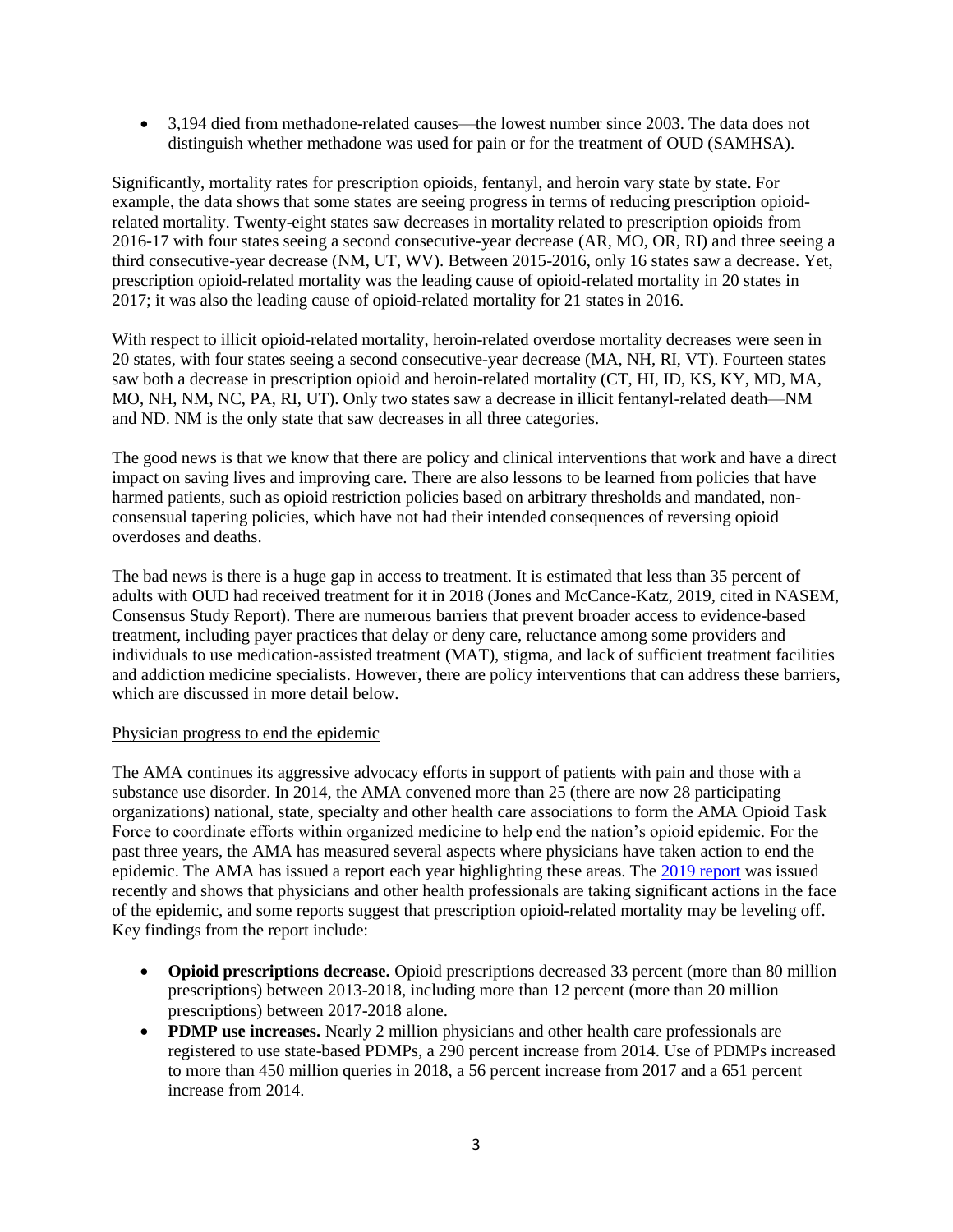• 3,194 died from methadone-related causes—the lowest number since 2003. The data does not distinguish whether methadone was used for pain or for the treatment of OUD (SAMHSA).

Significantly, mortality rates for prescription opioids, fentanyl, and heroin vary state by state. For example, the data shows that some states are seeing progress in terms of reducing prescription opioidrelated mortality. Twenty-eight states saw decreases in mortality related to prescription opioids from 2016-17 with four states seeing a second consecutive-year decrease (AR, MO, OR, RI) and three seeing a third consecutive-year decrease (NM, UT, WV). Between 2015-2016, only 16 states saw a decrease. Yet, prescription opioid-related mortality was the leading cause of opioid-related mortality in 20 states in 2017; it was also the leading cause of opioid-related mortality for 21 states in 2016.

With respect to illicit opioid-related mortality, heroin-related overdose mortality decreases were seen in 20 states, with four states seeing a second consecutive-year decrease (MA, NH, RI, VT). Fourteen states saw both a decrease in prescription opioid and heroin-related mortality (CT, HI, ID, KS, KY, MD, MA, MO, NH, NM, NC, PA, RI, UT). Only two states saw a decrease in illicit fentanyl-related death—NM and ND. NM is the only state that saw decreases in all three categories.

The good news is that we know that there are policy and clinical interventions that work and have a direct impact on saving lives and improving care. There are also lessons to be learned from policies that have harmed patients, such as opioid restriction policies based on arbitrary thresholds and mandated, nonconsensual tapering policies, which have not had their intended consequences of reversing opioid overdoses and deaths.

The bad news is there is a huge gap in access to treatment. It is estimated that less than 35 percent of adults with OUD had received treatment for it in 2018 (Jones and McCance-Katz, 2019, cited in NASEM, Consensus Study Report). There are numerous barriers that prevent broader access to evidence-based treatment, including payer practices that delay or deny care, reluctance among some providers and individuals to use medication-assisted treatment (MAT), stigma, and lack of sufficient treatment facilities and addiction medicine specialists. However, there are policy interventions that can address these barriers, which are discussed in more detail below.

### Physician progress to end the epidemic

The AMA continues its aggressive advocacy efforts in support of patients with pain and those with a substance use disorder. In 2014, the AMA convened more than 25 (there are now 28 participating organizations) national, state, specialty and other health care associations to form the AMA Opioid Task Force to coordinate efforts within organized medicine to help end the nation's opioid epidemic. For the past three years, the AMA has measured several aspects where physicians have taken action to end the epidemic. The AMA has issued a report each year highlighting these areas. The [2019 report](https://www.end-opioid-epidemic.org/wp-content/uploads/2019/06/AMA-Opioid-Task-Force-2019-Progress-Report-web-1.pdf) was issued recently and shows that physicians and other health professionals are taking significant actions in the face of the epidemic, and some reports suggest that prescription opioid-related mortality may be leveling off. Key findings from the report include:

- **Opioid prescriptions decrease.** Opioid prescriptions decreased 33 percent (more than 80 million prescriptions) between 2013-2018, including more than 12 percent (more than 20 million prescriptions) between 2017-2018 alone.
- **PDMP use increases.** Nearly 2 million physicians and other health care professionals are registered to use state-based PDMPs, a 290 percent increase from 2014. Use of PDMPs increased to more than 450 million queries in 2018, a 56 percent increase from 2017 and a 651 percent increase from 2014.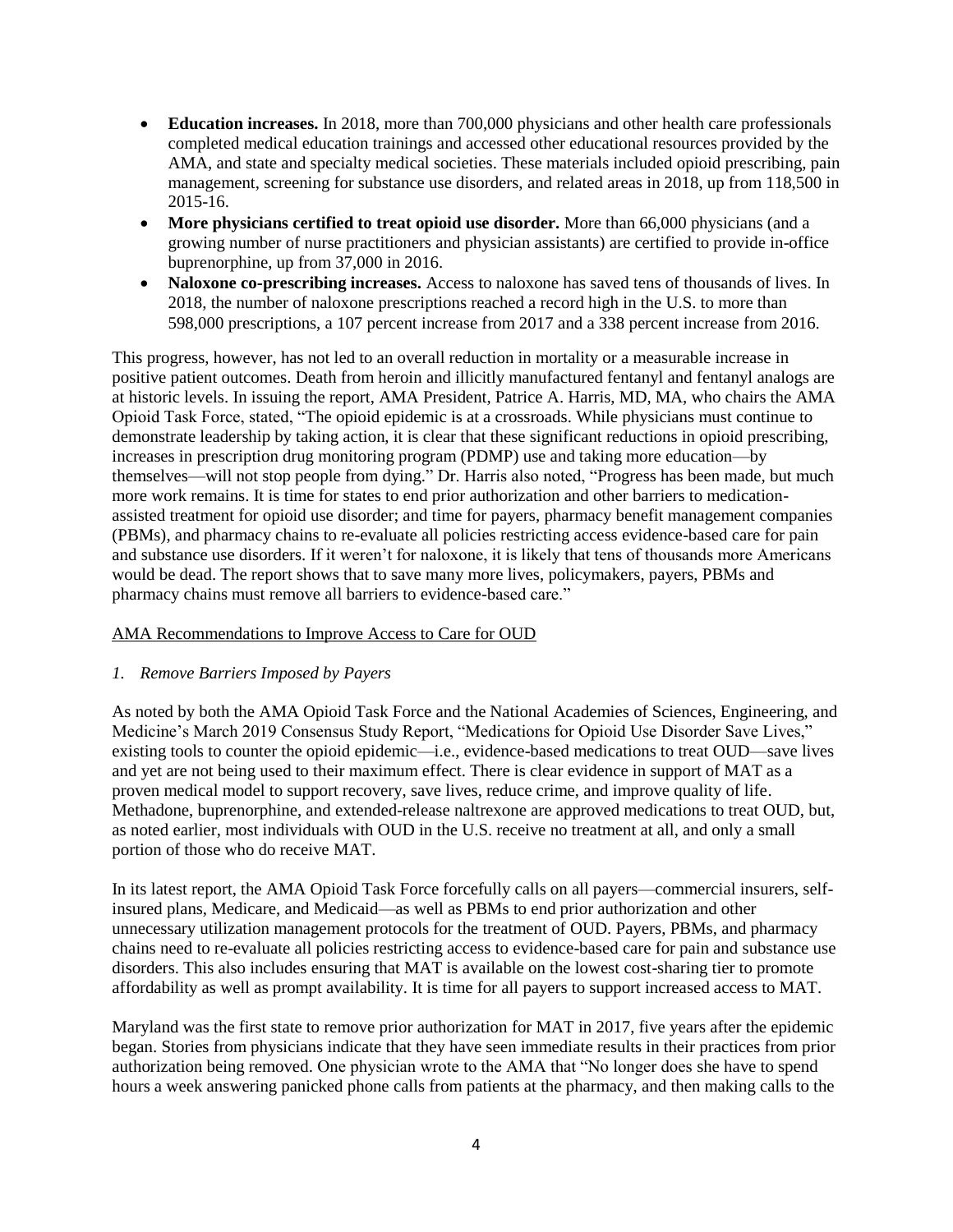- **Education increases.** In 2018, more than 700,000 physicians and other health care professionals completed medical education trainings and accessed other educational resources provided by the AMA, and state and specialty medical societies. These materials included opioid prescribing, pain management, screening for substance use disorders, and related areas in 2018, up from 118,500 in 2015-16.
- **More physicians certified to treat opioid use disorder.** More than 66,000 physicians (and a growing number of nurse practitioners and physician assistants) are certified to provide in-office buprenorphine, up from 37,000 in 2016.
- **Naloxone co-prescribing increases.** Access to naloxone has saved tens of thousands of lives. In 2018, the number of naloxone prescriptions reached a record high in the U.S. to more than 598,000 prescriptions, a 107 percent increase from 2017 and a 338 percent increase from 2016.

This progress, however, has not led to an overall reduction in mortality or a measurable increase in positive patient outcomes. Death from heroin and illicitly manufactured fentanyl and fentanyl analogs are at historic levels. In issuing the report, AMA President, Patrice A. Harris, MD, MA, who chairs the AMA Opioid Task Force, stated, "The opioid epidemic is at a crossroads. While physicians must continue to demonstrate leadership by taking action, it is clear that these significant reductions in opioid prescribing, increases in prescription drug monitoring program (PDMP) use and taking more education—by themselves—will not stop people from dying." Dr. Harris also noted, "Progress has been made, but much more work remains. It is time for states to end prior authorization and other barriers to medicationassisted treatment for opioid use disorder; and time for payers, pharmacy benefit management companies (PBMs), and pharmacy chains to re-evaluate all policies restricting access evidence-based care for pain and substance use disorders. If it weren't for naloxone, it is likely that tens of thousands more Americans would be dead. The report shows that to save many more lives, policymakers, payers, PBMs and pharmacy chains must remove all barriers to evidence-based care."

### AMA Recommendations to Improve Access to Care for OUD

### *1. Remove Barriers Imposed by Payers*

As noted by both the AMA Opioid Task Force and the National Academies of Sciences, Engineering, and Medicine's March 2019 Consensus Study Report, "Medications for Opioid Use Disorder Save Lives," existing tools to counter the opioid epidemic—i.e., evidence-based medications to treat OUD—save lives and yet are not being used to their maximum effect. There is clear evidence in support of MAT as a proven medical model to support recovery, save lives, reduce crime, and improve quality of life. Methadone, buprenorphine, and extended-release naltrexone are approved medications to treat OUD, but, as noted earlier, most individuals with OUD in the U.S. receive no treatment at all, and only a small portion of those who do receive MAT.

In its latest report, the AMA Opioid Task Force forcefully calls on all payers—commercial insurers, selfinsured plans, Medicare, and Medicaid—as well as PBMs to end prior authorization and other unnecessary utilization management protocols for the treatment of OUD. Payers, PBMs, and pharmacy chains need to re-evaluate all policies restricting access to evidence-based care for pain and substance use disorders. This also includes ensuring that MAT is available on the lowest cost-sharing tier to promote affordability as well as prompt availability. It is time for all payers to support increased access to MAT.

Maryland was the first state to remove prior authorization for MAT in 2017, five years after the epidemic began. Stories from physicians indicate that they have seen immediate results in their practices from prior authorization being removed. One physician wrote to the AMA that "No longer does she have to spend hours a week answering panicked phone calls from patients at the pharmacy, and then making calls to the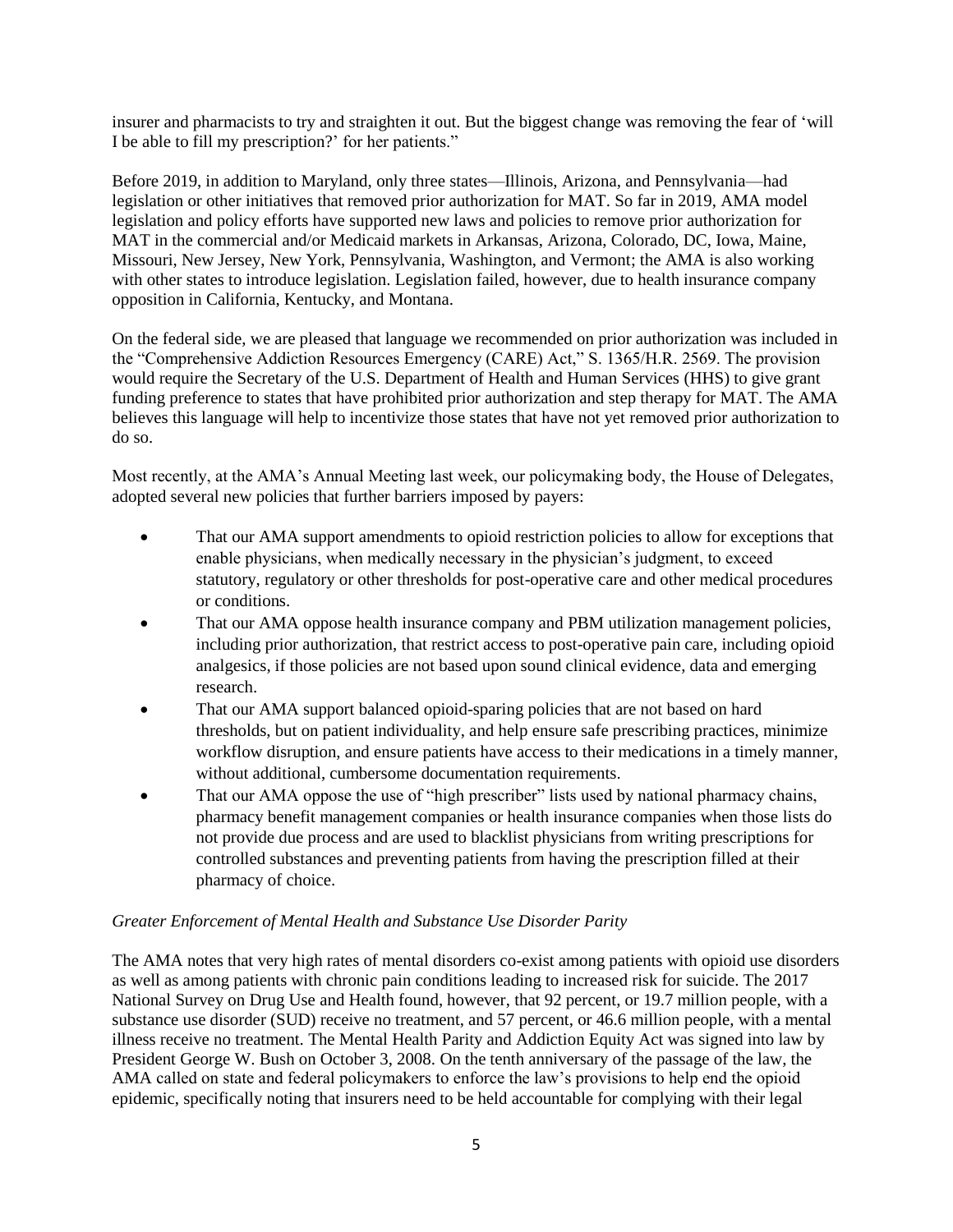insurer and pharmacists to try and straighten it out. But the biggest change was removing the fear of 'will I be able to fill my prescription?' for her patients."

Before 2019, in addition to Maryland, only three states—Illinois, Arizona, and Pennsylvania—had legislation or other initiatives that removed prior authorization for MAT. So far in 2019, AMA model legislation and policy efforts have supported new laws and policies to remove prior authorization for MAT in the commercial and/or Medicaid markets in Arkansas, Arizona, Colorado, DC, Iowa, Maine, Missouri, New Jersey, New York, Pennsylvania, Washington, and Vermont; the AMA is also working with other states to introduce legislation. Legislation failed, however, due to health insurance company opposition in California, Kentucky, and Montana.

On the federal side, we are pleased that language we recommended on prior authorization was included in the "Comprehensive Addiction Resources Emergency (CARE) Act," S. 1365/H.R. 2569. The provision would require the Secretary of the U.S. Department of Health and Human Services (HHS) to give grant funding preference to states that have prohibited prior authorization and step therapy for MAT. The AMA believes this language will help to incentivize those states that have not yet removed prior authorization to do so.

Most recently, at the AMA's Annual Meeting last week, our policymaking body, the House of Delegates, adopted several new policies that further barriers imposed by payers:

- That our AMA support amendments to opioid restriction policies to allow for exceptions that enable physicians, when medically necessary in the physician's judgment, to exceed statutory, regulatory or other thresholds for post-operative care and other medical procedures or conditions.
- That our AMA oppose health insurance company and PBM utilization management policies, including prior authorization, that restrict access to post-operative pain care, including opioid analgesics, if those policies are not based upon sound clinical evidence, data and emerging research.
- That our AMA support balanced opioid-sparing policies that are not based on hard thresholds, but on patient individuality, and help ensure safe prescribing practices, minimize workflow disruption, and ensure patients have access to their medications in a timely manner, without additional, cumbersome documentation requirements.
- That our AMA oppose the use of "high prescriber" lists used by national pharmacy chains, pharmacy benefit management companies or health insurance companies when those lists do not provide due process and are used to blacklist physicians from writing prescriptions for controlled substances and preventing patients from having the prescription filled at their pharmacy of choice.

### *Greater Enforcement of Mental Health and Substance Use Disorder Parity*

The AMA notes that very high rates of mental disorders co-exist among patients with opioid use disorders as well as among patients with chronic pain conditions leading to increased risk for suicide. The 2017 National Survey on Drug Use and Health found, however, that 92 percent, or 19.7 million people, with a substance use disorder (SUD) receive no treatment, and 57 percent, or 46.6 million people, with a mental illness receive no treatment. The Mental Health Parity and Addiction Equity Act was signed into law by President George W. Bush on October 3, 2008. On the tenth anniversary of the passage of the law, the AMA called on state and federal policymakers to enforce the law's provisions to help end the opioid epidemic, specifically noting that insurers need to be held accountable for complying with their legal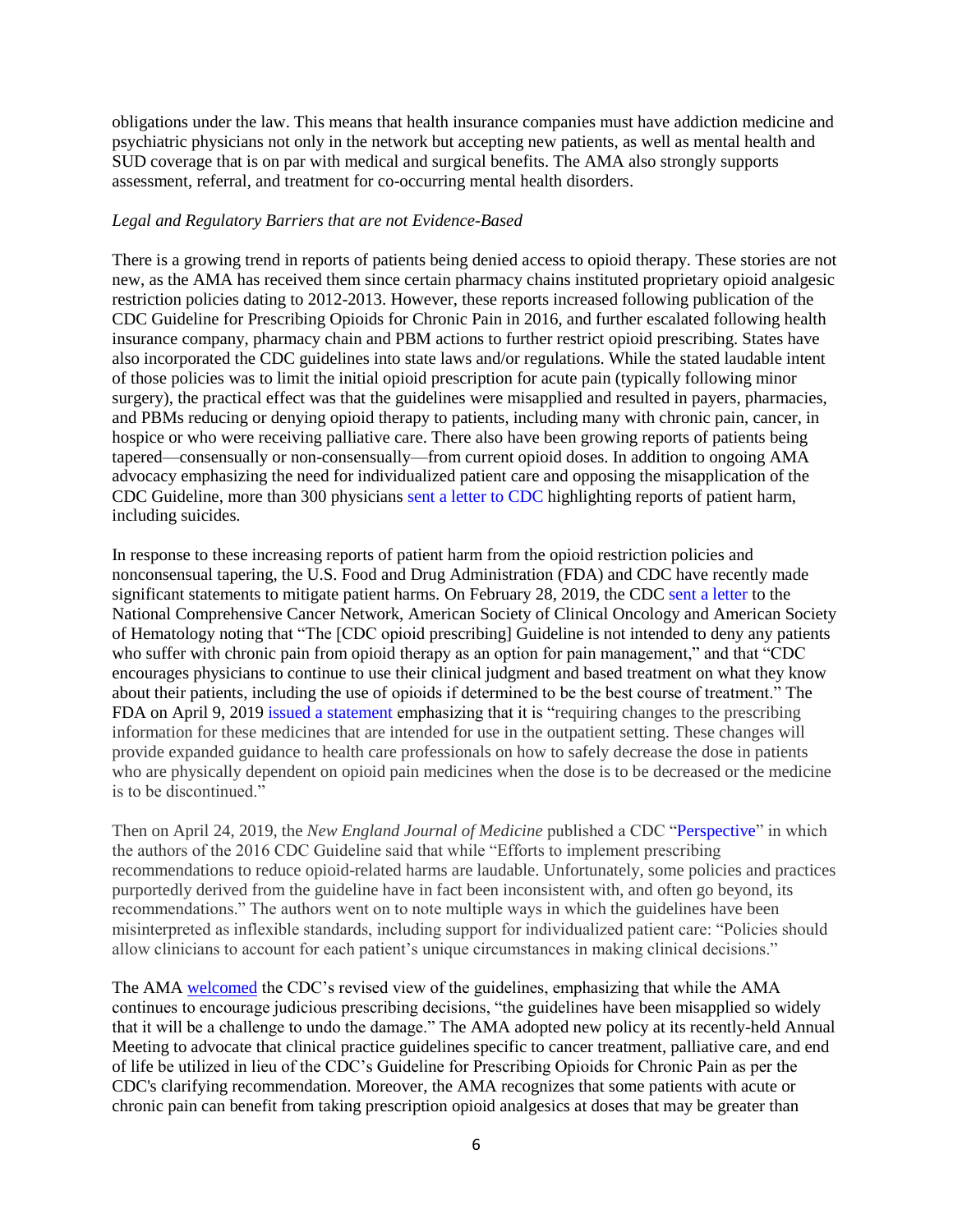obligations under the law. This means that health insurance companies must have addiction medicine and psychiatric physicians not only in the network but accepting new patients, as well as mental health and SUD coverage that is on par with medical and surgical benefits. The AMA also strongly supports assessment, referral, and treatment for co-occurring mental health disorders.

#### *Legal and Regulatory Barriers that are not Evidence-Based*

There is a growing trend in reports of patients being denied access to opioid therapy. These stories are not new, as the AMA has received them since certain pharmacy chains instituted proprietary opioid analgesic restriction policies dating to 2012-2013. However, these reports increased following publication of the CDC Guideline for Prescribing Opioids for Chronic Pain in 2016, and further escalated following health insurance company, pharmacy chain and PBM actions to further restrict opioid prescribing. States have also incorporated the CDC guidelines into state laws and/or regulations. While the stated laudable intent of those policies was to limit the initial opioid prescription for acute pain (typically following minor surgery), the practical effect was that the guidelines were misapplied and resulted in payers, pharmacies, and PBMs reducing or denying opioid therapy to patients, including many with chronic pain, cancer, in hospice or who were receiving palliative care. There also have been growing reports of patients being tapered—consensually or non-consensually—from current opioid doses. In addition to ongoing AMA advocacy emphasizing the need for individualized patient care and opposing the misapplication of the CDC Guideline, more than 300 physicians sent a letter to CDC highlighting reports of patient harm, including suicides.

In response to these increasing reports of patient harm from the opioid restriction policies and nonconsensual tapering, the U.S. Food and Drug Administration (FDA) and CDC have recently made significant statements to mitigate patient harms. On February 28, 2019, the CDC sent a letter to the National Comprehensive Cancer Network, American Society of Clinical Oncology and American Society of Hematology noting that "The [CDC opioid prescribing] Guideline is not intended to deny any patients who suffer with chronic pain from opioid therapy as an option for pain management," and that "CDC encourages physicians to continue to use their clinical judgment and based treatment on what they know about their patients, including the use of opioids if determined to be the best course of treatment." The FDA on April 9, 2019 issued a statement emphasizing that it is "requiring changes to the prescribing information for these medicines that are intended for use in the outpatient setting. These changes will provide expanded guidance to health care professionals on how to safely decrease the dose in patients who are physically dependent on opioid pain medicines when the dose is to be decreased or the medicine is to be discontinued."

Then on April 24, 2019, the *New England Journal of Medicine* published a CDC "Perspective" in which the authors of the 2016 CDC Guideline said that while "Efforts to implement prescribing recommendations to reduce opioid-related harms are laudable. Unfortunately, some policies and practices purportedly derived from the guideline have in fact been inconsistent with, and often go beyond, its recommendations." The authors went on to note multiple ways in which the guidelines have been misinterpreted as inflexible standards, including support for individualized patient care: "Policies should allow clinicians to account for each patient's unique circumstances in making clinical decisions."

The AMA [welcomed](https://www.ama-assn.org/press-center/ama-statements/ama-welcomes-cdc-s-revised-view-opioids-guidelines) the CDC's revised view of the guidelines, emphasizing that while the AMA continues to encourage judicious prescribing decisions, "the guidelines have been misapplied so widely that it will be a challenge to undo the damage." The AMA adopted new policy at its recently-held Annual Meeting to advocate that clinical practice guidelines specific to cancer treatment, palliative care, and end of life be utilized in lieu of the CDC's Guideline for Prescribing Opioids for Chronic Pain as per the CDC's clarifying recommendation. Moreover, the AMA recognizes that some patients with acute or chronic pain can benefit from taking prescription opioid analgesics at doses that may be greater than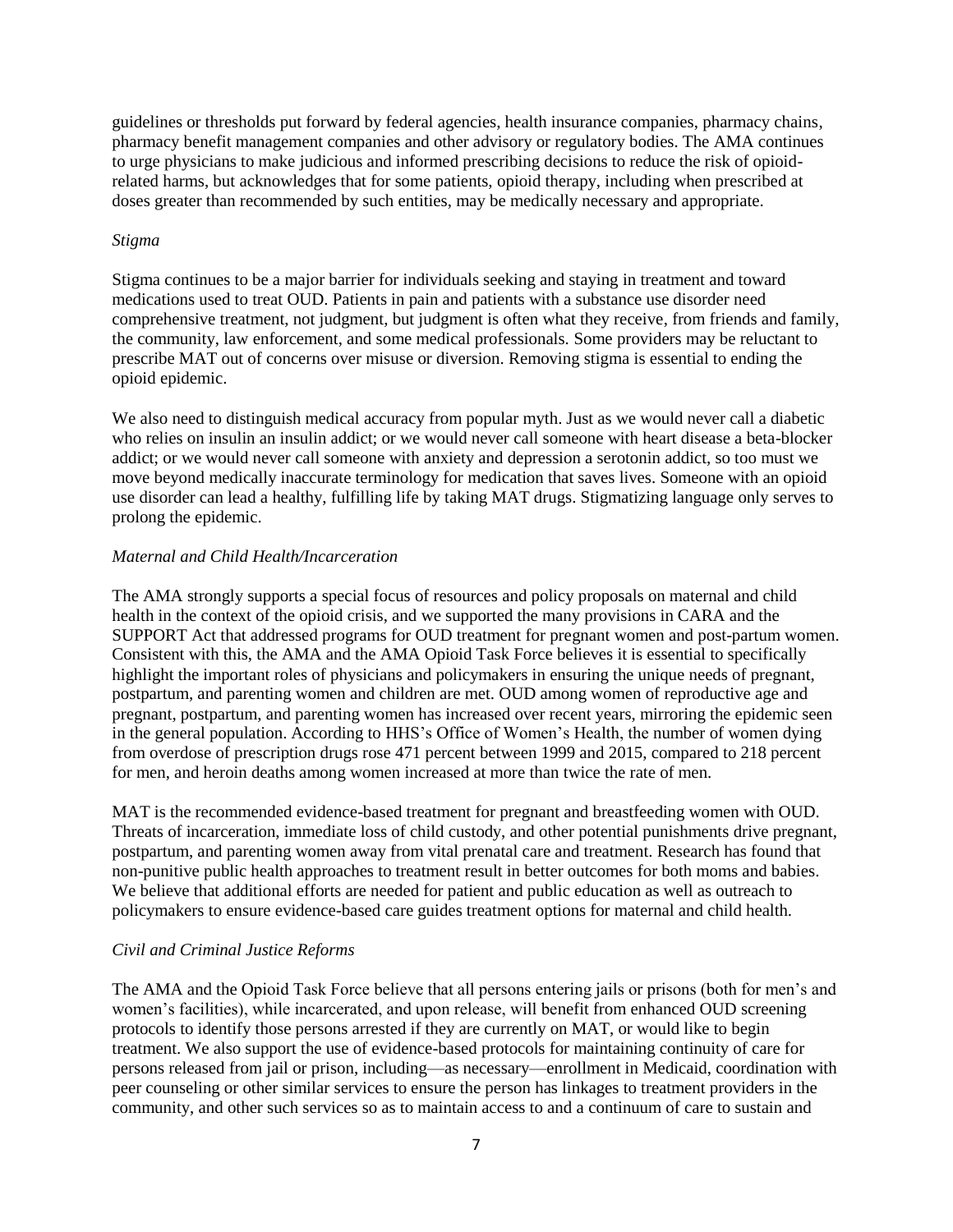guidelines or thresholds put forward by federal agencies, health insurance companies, pharmacy chains, pharmacy benefit management companies and other advisory or regulatory bodies. The AMA continues to urge physicians to make judicious and informed prescribing decisions to reduce the risk of opioidrelated harms, but acknowledges that for some patients, opioid therapy, including when prescribed at doses greater than recommended by such entities, may be medically necessary and appropriate.

#### *Stigma*

Stigma continues to be a major barrier for individuals seeking and staying in treatment and toward medications used to treat OUD. Patients in pain and patients with a substance use disorder need comprehensive treatment, not judgment, but judgment is often what they receive, from friends and family, the community, law enforcement, and some medical professionals. Some providers may be reluctant to prescribe MAT out of concerns over misuse or diversion. Removing stigma is essential to ending the opioid epidemic.

We also need to distinguish medical accuracy from popular myth. Just as we would never call a diabetic who relies on insulin an insulin addict; or we would never call someone with heart disease a beta-blocker addict; or we would never call someone with anxiety and depression a serotonin addict, so too must we move beyond medically inaccurate terminology for medication that saves lives. Someone with an opioid use disorder can lead a healthy, fulfilling life by taking MAT drugs. Stigmatizing language only serves to prolong the epidemic.

### *Maternal and Child Health/Incarceration*

The AMA strongly supports a special focus of resources and policy proposals on maternal and child health in the context of the opioid crisis, and we supported the many provisions in CARA and the SUPPORT Act that addressed programs for OUD treatment for pregnant women and post-partum women. Consistent with this, the AMA and the AMA Opioid Task Force believes it is essential to specifically highlight the important roles of physicians and policymakers in ensuring the unique needs of pregnant, postpartum, and parenting women and children are met. OUD among women of reproductive age and pregnant, postpartum, and parenting women has increased over recent years, mirroring the epidemic seen in the general population. According to HHS's Office of Women's Health, the number of women dying from overdose of prescription drugs rose 471 percent between 1999 and 2015, compared to 218 percent for men, and heroin deaths among women increased at more than twice the rate of men.

MAT is the recommended evidence-based treatment for pregnant and breastfeeding women with OUD. Threats of incarceration, immediate loss of child custody, and other potential punishments drive pregnant, postpartum, and parenting women away from vital prenatal care and treatment. Research has found that non-punitive public health approaches to treatment result in better outcomes for both moms and babies. We believe that additional efforts are needed for patient and public education as well as outreach to policymakers to ensure evidence-based care guides treatment options for maternal and child health.

### *Civil and Criminal Justice Reforms*

The AMA and the Opioid Task Force believe that all persons entering jails or prisons (both for men's and women's facilities), while incarcerated, and upon release, will benefit from enhanced OUD screening protocols to identify those persons arrested if they are currently on MAT, or would like to begin treatment. We also support the use of evidence-based protocols for maintaining continuity of care for persons released from jail or prison, including—as necessary—enrollment in Medicaid, coordination with peer counseling or other similar services to ensure the person has linkages to treatment providers in the community, and other such services so as to maintain access to and a continuum of care to sustain and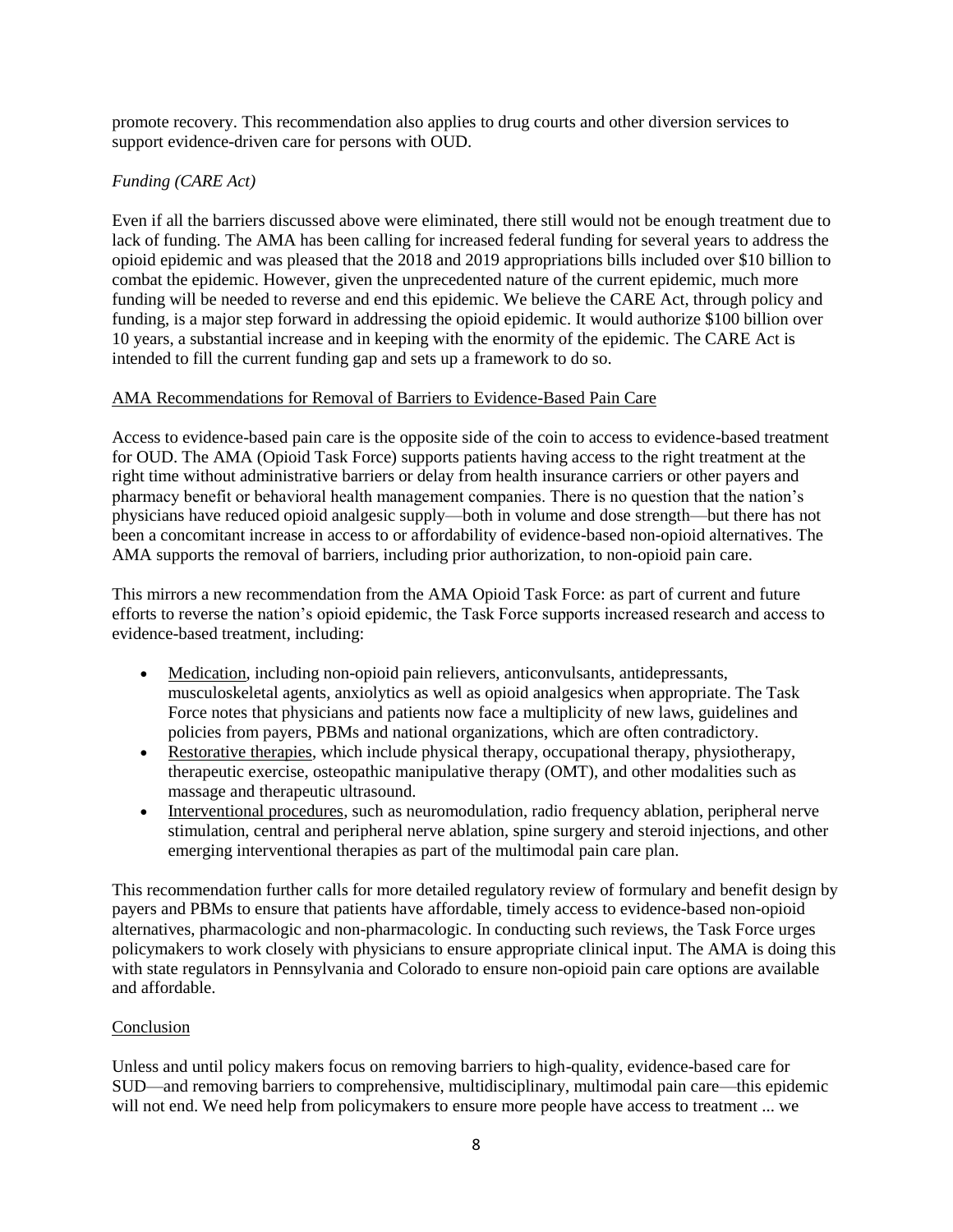promote recovery. This recommendation also applies to drug courts and other diversion services to support evidence-driven care for persons with OUD.

## *Funding (CARE Act)*

Even if all the barriers discussed above were eliminated, there still would not be enough treatment due to lack of funding. The AMA has been calling for increased federal funding for several years to address the opioid epidemic and was pleased that the 2018 and 2019 appropriations bills included over \$10 billion to combat the epidemic. However, given the unprecedented nature of the current epidemic, much more funding will be needed to reverse and end this epidemic. We believe the CARE Act, through policy and funding, is a major step forward in addressing the opioid epidemic. It would authorize \$100 billion over 10 years, a substantial increase and in keeping with the enormity of the epidemic. The CARE Act is intended to fill the current funding gap and sets up a framework to do so.

### AMA Recommendations for Removal of Barriers to Evidence-Based Pain Care

Access to evidence-based pain care is the opposite side of the coin to access to evidence-based treatment for OUD. The AMA (Opioid Task Force) supports patients having access to the right treatment at the right time without administrative barriers or delay from health insurance carriers or other payers and pharmacy benefit or behavioral health management companies. There is no question that the nation's physicians have reduced opioid analgesic supply—both in volume and dose strength—but there has not been a concomitant increase in access to or affordability of evidence-based non-opioid alternatives. The AMA supports the removal of barriers, including prior authorization, to non-opioid pain care.

This mirrors a new recommendation from the AMA Opioid Task Force: as part of current and future efforts to reverse the nation's opioid epidemic, the Task Force supports increased research and access to evidence-based treatment, including:

- Medication, including non-opioid pain relievers, anticonvulsants, antidepressants, musculoskeletal agents, anxiolytics as well as opioid analgesics when appropriate. The Task Force notes that physicians and patients now face a multiplicity of new laws, guidelines and policies from payers, PBMs and national organizations, which are often contradictory.
- Restorative therapies, which include physical therapy, occupational therapy, physiotherapy, therapeutic exercise, osteopathic manipulative therapy (OMT), and other modalities such as massage and therapeutic ultrasound.
- Interventional procedures, such as neuromodulation, radio frequency ablation, peripheral nerve stimulation, central and peripheral nerve ablation, spine surgery and steroid injections, and other emerging interventional therapies as part of the multimodal pain care plan.

This recommendation further calls for more detailed regulatory review of formulary and benefit design by payers and PBMs to ensure that patients have affordable, timely access to evidence-based non-opioid alternatives, pharmacologic and non-pharmacologic. In conducting such reviews, the Task Force urges policymakers to work closely with physicians to ensure appropriate clinical input. The AMA is doing this with state regulators in Pennsylvania and Colorado to ensure non-opioid pain care options are available and affordable.

### Conclusion

Unless and until policy makers focus on removing barriers to high-quality, evidence-based care for SUD—and removing barriers to comprehensive, multidisciplinary, multimodal pain care—this epidemic will not end. We need help from policymakers to ensure more people have access to treatment ... we